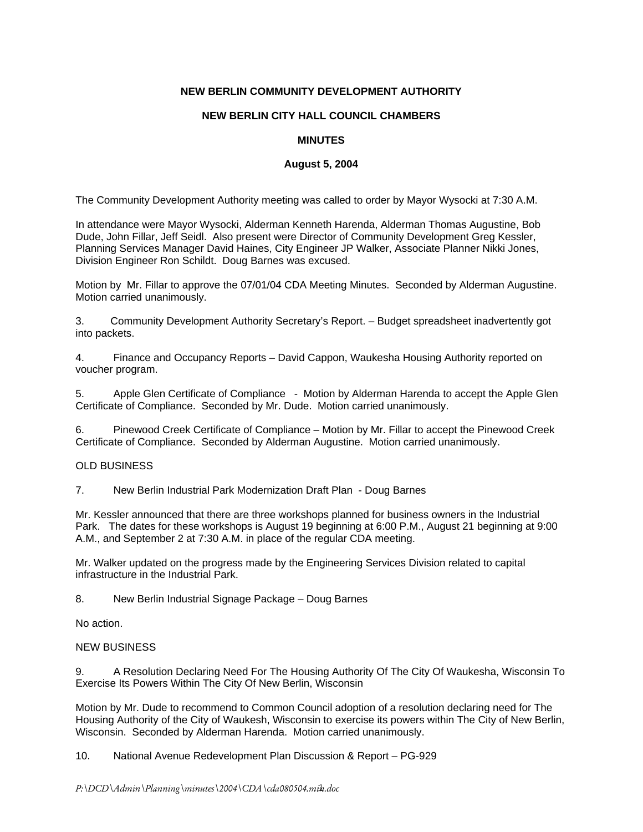# **NEW BERLIN COMMUNITY DEVELOPMENT AUTHORITY**

### **NEW BERLIN CITY HALL COUNCIL CHAMBERS**

# **MINUTES**

### **August 5, 2004**

The Community Development Authority meeting was called to order by Mayor Wysocki at 7:30 A.M.

In attendance were Mayor Wysocki, Alderman Kenneth Harenda, Alderman Thomas Augustine, Bob Dude, John Fillar, Jeff Seidl. Also present were Director of Community Development Greg Kessler, Planning Services Manager David Haines, City Engineer JP Walker, Associate Planner Nikki Jones, Division Engineer Ron Schildt. Doug Barnes was excused.

Motion by Mr. Fillar to approve the 07/01/04 CDA Meeting Minutes. Seconded by Alderman Augustine. Motion carried unanimously.

3. Community Development Authority Secretary's Report. – Budget spreadsheet inadvertently got into packets.

4. Finance and Occupancy Reports – David Cappon, Waukesha Housing Authority reported on voucher program.

5. Apple Glen Certificate of Compliance - Motion by Alderman Harenda to accept the Apple Glen Certificate of Compliance. Seconded by Mr. Dude. Motion carried unanimously.

6. Pinewood Creek Certificate of Compliance – Motion by Mr. Fillar to accept the Pinewood Creek Certificate of Compliance. Seconded by Alderman Augustine. Motion carried unanimously.

### OLD BUSINESS

7. New Berlin Industrial Park Modernization Draft Plan - Doug Barnes

Mr. Kessler announced that there are three workshops planned for business owners in the Industrial Park. The dates for these workshops is August 19 beginning at 6:00 P.M., August 21 beginning at 9:00 A.M., and September 2 at 7:30 A.M. in place of the regular CDA meeting.

Mr. Walker updated on the progress made by the Engineering Services Division related to capital infrastructure in the Industrial Park.

8. New Berlin Industrial Signage Package – Doug Barnes

No action.

### NEW BUSINESS

9. A Resolution Declaring Need For The Housing Authority Of The City Of Waukesha, Wisconsin To Exercise Its Powers Within The City Of New Berlin, Wisconsin

Motion by Mr. Dude to recommend to Common Council adoption of a resolution declaring need for The Housing Authority of the City of Waukesh, Wisconsin to exercise its powers within The City of New Berlin, Wisconsin. Seconded by Alderman Harenda. Motion carried unanimously.

10. National Avenue Redevelopment Plan Discussion & Report – PG-929